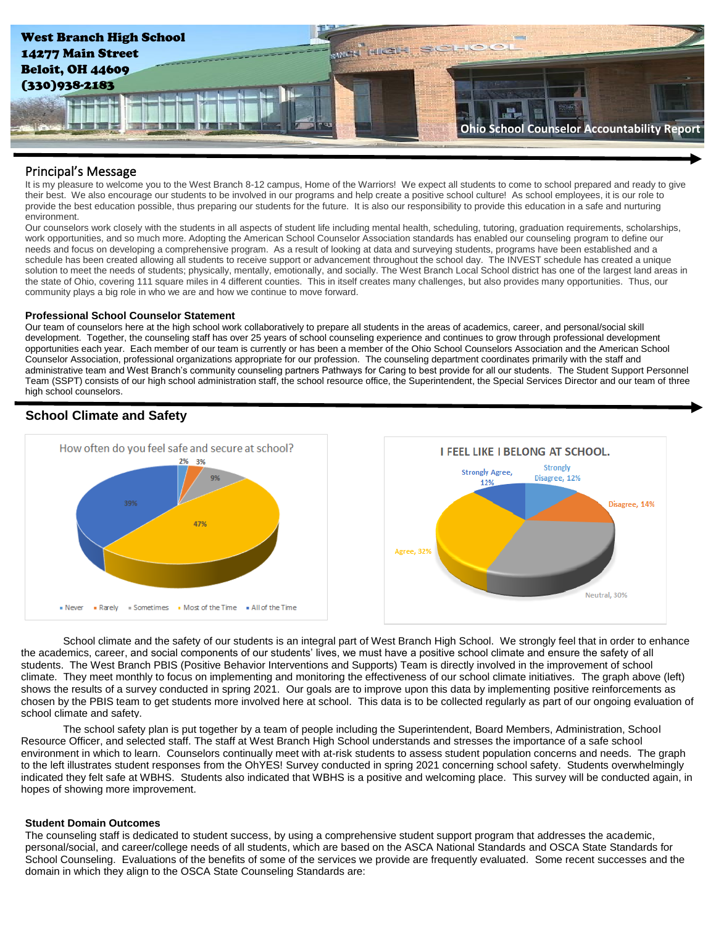

## Principal's Message

It is my pleasure to welcome you to the West Branch 8-12 campus, Home of the Warriors! We expect all students to come to school prepared and ready to give their best. We also encourage our students to be involved in our programs and help create a positive school culture! As school employees, it is our role to provide the best education possible, thus preparing our students for the future. It is also our responsibility to provide this education in a safe and nurturing environment.

Our counselors work closely with the students in all aspects of student life including mental health, scheduling, tutoring, graduation requirements, scholarships, work opportunities, and so much more. Adopting the American School Counselor Association standards has enabled our counseling program to define our needs and focus on developing a comprehensive program. As a result of looking at data and surveying students, programs have been established and a schedule has been created allowing all students to receive support or advancement throughout the school day. The INVEST schedule has created a unique solution to meet the needs of students; physically, mentally, emotionally, and socially. The West Branch Local School district has one of the largest land areas in the state of Ohio, covering 111 square miles in 4 different counties. This in itself creates many challenges, but also provides many opportunities. Thus, our community plays a big role in who we are and how we continue to move forward.

## **Professional School Counselor Statement**

Our team of counselors here at the high school work collaboratively to prepare all students in the areas of academics, career, and personal/social skill development. Together, the counseling staff has over 25 years of school counseling experience and continues to grow through professional development opportunities each year. Each member of our team is currently or has been a member of the Ohio School Counselors Association and the American School Counselor Association, professional organizations appropriate for our profession. The counseling department coordinates primarily with the staff and administrative team and West Branch's community counseling partners Pathways for Caring to best provide for all our students. The Student Support Personnel Team (SSPT) consists of our high school administration staff, the school resource office, the Superintendent, the Special Services Director and our team of three high school counselors.

# **School Climate and Safety**



School climate and the safety of our students is an integral part of West Branch High School. We strongly feel that in order to enhance the academics, career, and social components of our students' lives, we must have a positive school climate and ensure the safety of all students. The West Branch PBIS (Positive Behavior Interventions and Supports) Team is directly involved in the improvement of school climate. They meet monthly to focus on implementing and monitoring the effectiveness of our school climate initiatives. The graph above (left) shows the results of a survey conducted in spring 2021. Our goals are to improve upon this data by implementing positive reinforcements as chosen by the PBIS team to get students more involved here at school. This data is to be collected regularly as part of our ongoing evaluation of school climate and safety.

The school safety plan is put together by a team of people including the Superintendent, Board Members, Administration, School Resource Officer, and selected staff. The staff at West Branch High School understands and stresses the importance of a safe school environment in which to learn. Counselors continually meet with at-risk students to assess student population concerns and needs. The graph to the left illustrates student responses from the OhYES! Survey conducted in spring 2021 concerning school safety. Students overwhelmingly indicated they felt safe at WBHS. Students also indicated that WBHS is a positive and welcoming place. This survey will be conducted again, in hopes of showing more improvement.

## **Student Domain Outcomes**

The counseling staff is dedicated to student success, by using a comprehensive student support program that addresses the academic, personal/social, and career/college needs of all students, which are based on the ASCA National Standards and OSCA State Standards for School Counseling. Evaluations of the benefits of some of the services we provide are frequently evaluated. Some recent successes and the domain in which they align to the OSCA State Counseling Standards are: